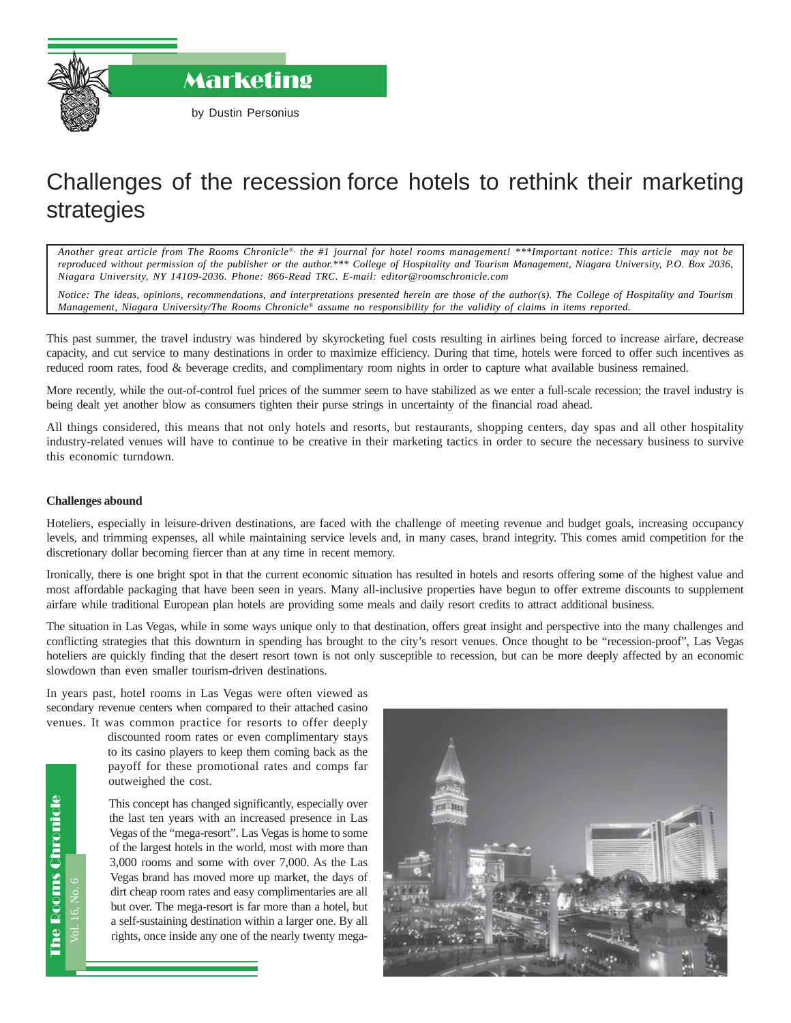

Marketing

# Challenges of the recession force hotels to rethink their marketing strategies

*Another great article from The Rooms Chronicle*®*, the #1 journal for hotel rooms management! \*\*\*Important notice: This article may not be reproduced without permission of the publisher or the author.\*\*\* College of Hospitality and Tourism Management, Niagara University, P.O. Box 2036, Niagara University, NY 14109-2036. Phone: 866-Read TRC. E-mail: editor@roomschronicle.com*

*Notice: The ideas, opinions, recommendations, and interpretations presented herein are those of the author(s). The College of Hospitality and Tourism Management, Niagara University/The Rooms Chronicle*® *assume no responsibility for the validity of claims in items reported.*

This past summer, the travel industry was hindered by skyrocketing fuel costs resulting in airlines being forced to increase airfare, decrease capacity, and cut service to many destinations in order to maximize efficiency. During that time, hotels were forced to offer such incentives as reduced room rates, food & beverage credits, and complimentary room nights in order to capture what available business remained.

More recently, while the out-of-control fuel prices of the summer seem to have stabilized as we enter a full-scale recession; the travel industry is being dealt yet another blow as consumers tighten their purse strings in uncertainty of the financial road ahead.

All things considered, this means that not only hotels and resorts, but restaurants, shopping centers, day spas and all other hospitality industry-related venues will have to continue to be creative in their marketing tactics in order to secure the necessary business to survive this economic turndown.

#### **Challenges abound**

Hoteliers, especially in leisure-driven destinations, are faced with the challenge of meeting revenue and budget goals, increasing occupancy levels, and trimming expenses, all while maintaining service levels and, in many cases, brand integrity. This comes amid competition for the discretionary dollar becoming fiercer than at any time in recent memory.

Ironically, there is one bright spot in that the current economic situation has resulted in hotels and resorts offering some of the highest value and most affordable packaging that have been seen in years. Many all-inclusive properties have begun to offer extreme discounts to supplement airfare while traditional European plan hotels are providing some meals and daily resort credits to attract additional business.

The situation in Las Vegas, while in some ways unique only to that destination, offers great insight and perspective into the many challenges and conflicting strategies that this downturn in spending has brought to the city's resort venues. Once thought to be "recession-proof", Las Vegas hoteliers are quickly finding that the desert resort town is not only susceptible to recession, but can be more deeply affected by an economic slowdown than even smaller tourism-driven destinations.

In years past, hotel rooms in Las Vegas were often viewed as secondary revenue centers when compared to their attached casino venues. It was common practice for resorts to offer deeply

> discounted room rates or even complimentary stays to its casino players to keep them coming back as the payoff for these promotional rates and comps far outweighed the cost.

> This concept has changed significantly, especially over the last ten years with an increased presence in Las Vegas of the "mega-resort". Las Vegas is home to some of the largest hotels in the world, most with more than 3,000 rooms and some with over 7,000. As the Las Vegas brand has moved more up market, the days of dirt cheap room rates and easy complimentaries are all but over. The mega-resort is far more than a hotel, but a self-sustaining destination within a larger one. By all rights, once inside any one of the nearly twenty mega-



Vol. 16, No. 6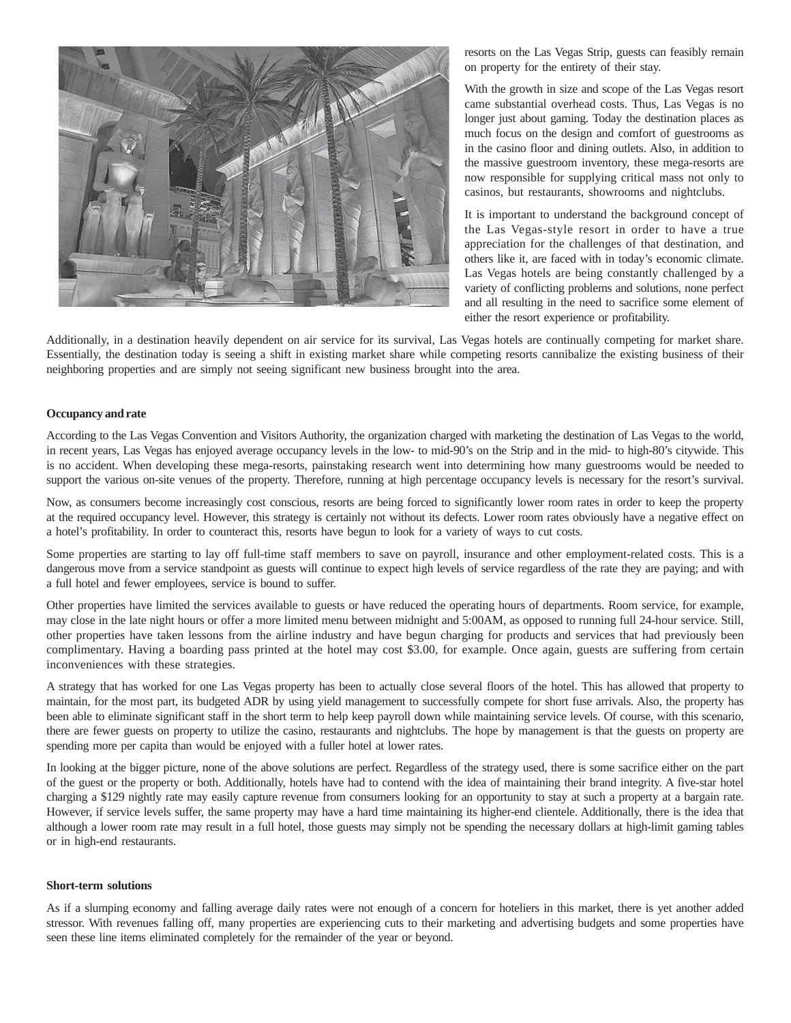

resorts on the Las Vegas Strip, guests can feasibly remain on property for the entirety of their stay.

With the growth in size and scope of the Las Vegas resort came substantial overhead costs. Thus, Las Vegas is no longer just about gaming. Today the destination places as much focus on the design and comfort of guestrooms as in the casino floor and dining outlets. Also, in addition to the massive guestroom inventory, these mega-resorts are now responsible for supplying critical mass not only to casinos, but restaurants, showrooms and nightclubs.

It is important to understand the background concept of the Las Vegas-style resort in order to have a true appreciation for the challenges of that destination, and others like it, are faced with in today's economic climate. Las Vegas hotels are being constantly challenged by a variety of conflicting problems and solutions, none perfect and all resulting in the need to sacrifice some element of either the resort experience or profitability.

Additionally, in a destination heavily dependent on air service for its survival, Las Vegas hotels are continually competing for market share. Essentially, the destination today is seeing a shift in existing market share while competing resorts cannibalize the existing business of their neighboring properties and are simply not seeing significant new business brought into the area.

## **Occupancy and rate**

According to the Las Vegas Convention and Visitors Authority, the organization charged with marketing the destination of Las Vegas to the world, in recent years, Las Vegas has enjoyed average occupancy levels in the low- to mid-90's on the Strip and in the mid- to high-80's citywide. This is no accident. When developing these mega-resorts, painstaking research went into determining how many guestrooms would be needed to support the various on-site venues of the property. Therefore, running at high percentage occupancy levels is necessary for the resort's survival.

Now, as consumers become increasingly cost conscious, resorts are being forced to significantly lower room rates in order to keep the property at the required occupancy level. However, this strategy is certainly not without its defects. Lower room rates obviously have a negative effect on a hotel's profitability. In order to counteract this, resorts have begun to look for a variety of ways to cut costs.

Some properties are starting to lay off full-time staff members to save on payroll, insurance and other employment-related costs. This is a dangerous move from a service standpoint as guests will continue to expect high levels of service regardless of the rate they are paying; and with a full hotel and fewer employees, service is bound to suffer.

Other properties have limited the services available to guests or have reduced the operating hours of departments. Room service, for example, may close in the late night hours or offer a more limited menu between midnight and 5:00AM, as opposed to running full 24-hour service. Still, other properties have taken lessons from the airline industry and have begun charging for products and services that had previously been complimentary. Having a boarding pass printed at the hotel may cost \$3.00, for example. Once again, guests are suffering from certain inconveniences with these strategies.

A strategy that has worked for one Las Vegas property has been to actually close several floors of the hotel. This has allowed that property to maintain, for the most part, its budgeted ADR by using yield management to successfully compete for short fuse arrivals. Also, the property has been able to eliminate significant staff in the short term to help keep payroll down while maintaining service levels. Of course, with this scenario, there are fewer guests on property to utilize the casino, restaurants and nightclubs. The hope by management is that the guests on property are spending more per capita than would be enjoyed with a fuller hotel at lower rates.

In looking at the bigger picture, none of the above solutions are perfect. Regardless of the strategy used, there is some sacrifice either on the part of the guest or the property or both. Additionally, hotels have had to contend with the idea of maintaining their brand integrity. A five-star hotel charging a \$129 nightly rate may easily capture revenue from consumers looking for an opportunity to stay at such a property at a bargain rate. However, if service levels suffer, the same property may have a hard time maintaining its higher-end clientele. Additionally, there is the idea that although a lower room rate may result in a full hotel, those guests may simply not be spending the necessary dollars at high-limit gaming tables or in high-end restaurants.

#### **Short-term solutions**

As if a slumping economy and falling average daily rates were not enough of a concern for hoteliers in this market, there is yet another added stressor. With revenues falling off, many properties are experiencing cuts to their marketing and advertising budgets and some properties have seen these line items eliminated completely for the remainder of the year or beyond.